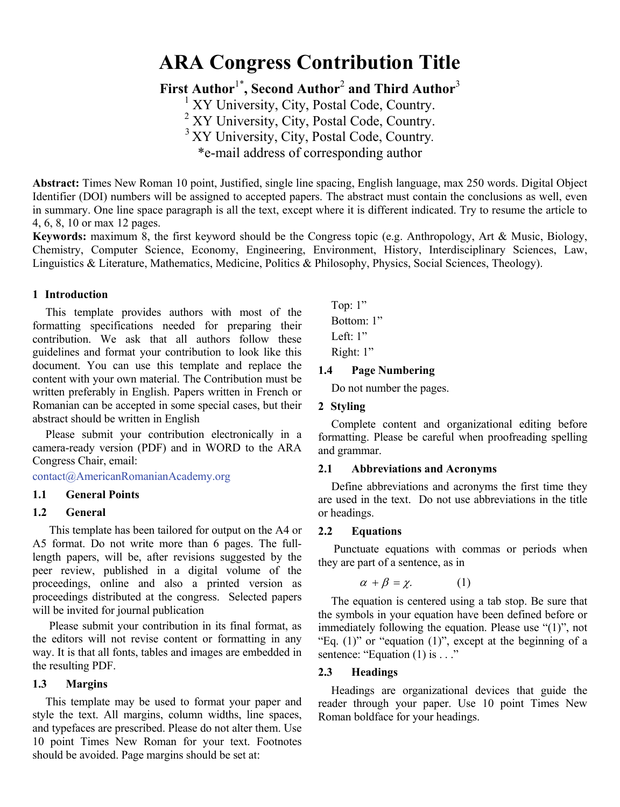# **ARA Congress Contribution Title**

**First Author**1\* **, Second Author**<sup>2</sup> **and Third Author**<sup>3</sup>

<sup>1</sup> XY University, City, Postal Code, Country.<br><sup>2</sup> XY University, City, Postal Code, Country.<br><sup>3</sup> XY University, City, Postal Code, Country.

\*e-mail address of corresponding author

**Abstract:** Times New Roman 10 point, Justified, single line spacing, English language, max 250 words. Digital Object Identifier (DOI) numbers will be assigned to accepted papers. The abstract must contain the conclusions as well, even in summary. One line space paragraph is all the text, except where it is different indicated. Try to resume the article to 4, 6, 8, 10 or max 12 pages.

**Keywords:** maximum 8, the first keyword should be the Congress topic (e.g. Anthropology, Art & Music, Biology, Chemistry, Computer Science, Economy, Engineering, Environment, History, Interdisciplinary Sciences, Law, Linguistics & Literature, Mathematics, Medicine, Politics & Philosophy, Physics, Social Sciences, Theology).

## **1 Introduction**

This template provides authors with most of the formatting specifications needed for preparing their contribution. We ask that all authors follow these guidelines and format your contribution to look like this document. You can use this template and replace the content with your own material. The Contribution must be written preferably in English. Papers written in French or Romanian can be accepted in some special cases, but their abstract should be written in English

Please submit your contribution electronically in a camera-ready version (PDF) and in WORD to the ARA Congress Chair, email:

contact@AmericanRomanianAcademy.org

### **1.1 General Points**

## **1.2 General**

This template has been tailored for output on the A4 or A5 format. Do not write more than 6 pages. The fulllength papers, will be, after revisions suggested by the peer review, published in a digital volume of the proceedings, online and also a printed version as proceedings distributed at the congress. Selected papers will be invited for journal publication

Please submit your contribution in its final format, as the editors will not revise content or formatting in any way. It is that all fonts, tables and images are embedded in the resulting PDF.

#### **1.3 Margins**

This template may be used to format your paper and style the text. All margins, column widths, line spaces, and typefaces are prescribed. Please do not alter them. Use 10 point Times New Roman for your text. Footnotes should be avoided. Page margins should be set at:

Top: 1" Bottom: 1" Left: 1" Right: 1"

## **1.4 Page Numbering**

Do not number the pages.

## **2 Styling**

Complete content and organizational editing before formatting. Please be careful when proofreading spelling and grammar.

#### **2.1 Abbreviations and Acronyms**

Define abbreviations and acronyms the first time they are used in the text. Do not use abbreviations in the title or headings.

## **2.2 Equations**

Punctuate equations with commas or periods when they are part of a sentence, as in

$$
\alpha + \beta = \chi. \tag{1}
$$

The equation is centered using a tab stop. Be sure that the symbols in your equation have been defined before or immediately following the equation. Please use "(1)", not "Eq.  $(1)$ " or "equation  $(1)$ ", except at the beginning of a sentence: "Equation (1) is . . ."

#### **2.3 Headings**

Headings are organizational devices that guide the reader through your paper. Use 10 point Times New Roman boldface for your headings.